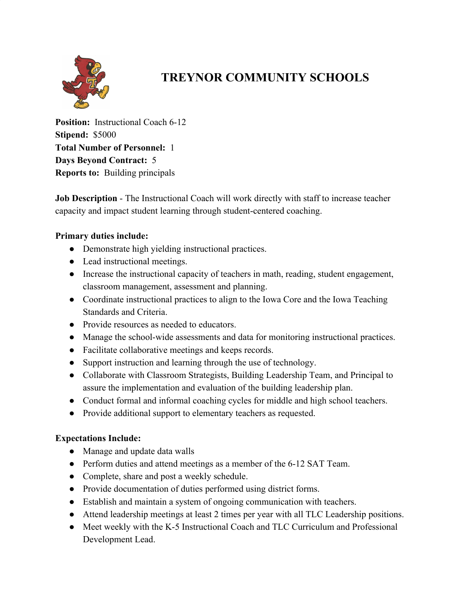

## **TREYNOR COMMUNITY SCHOOLS**

**Position:** Instructional Coach 6-12 **Stipend:** \$5000 **Total Number of Personnel:** 1 **Days Beyond Contract:** 5 **Reports to:** Building principals

**Job Description - The Instructional Coach will work directly with staff to increase teacher** capacity and impact student learning through student-centered coaching.

## **Primary duties include:**

- Demonstrate high yielding instructional practices.
- Lead instructional meetings.
- Increase the instructional capacity of teachers in math, reading, student engagement, classroom management, assessment and planning.
- Coordinate instructional practices to align to the Iowa Core and the Iowa Teaching Standards and Criteria.
- Provide resources as needed to educators.
- Manage the school-wide assessments and data for monitoring instructional practices.
- Facilitate collaborative meetings and keeps records.
- Support instruction and learning through the use of technology.
- Collaborate with Classroom Strategists, Building Leadership Team, and Principal to assure the implementation and evaluation of the building leadership plan.
- Conduct formal and informal coaching cycles for middle and high school teachers.
- Provide additional support to elementary teachers as requested.

## **Expectations Include:**

- Manage and update data walls
- Perform duties and attend meetings as a member of the 6-12 SAT Team.
- Complete, share and post a weekly schedule.
- Provide documentation of duties performed using district forms.
- Establish and maintain a system of ongoing communication with teachers.
- Attend leadership meetings at least 2 times per year with all TLC Leadership positions.
- Meet weekly with the K-5 Instructional Coach and TLC Curriculum and Professional Development Lead.